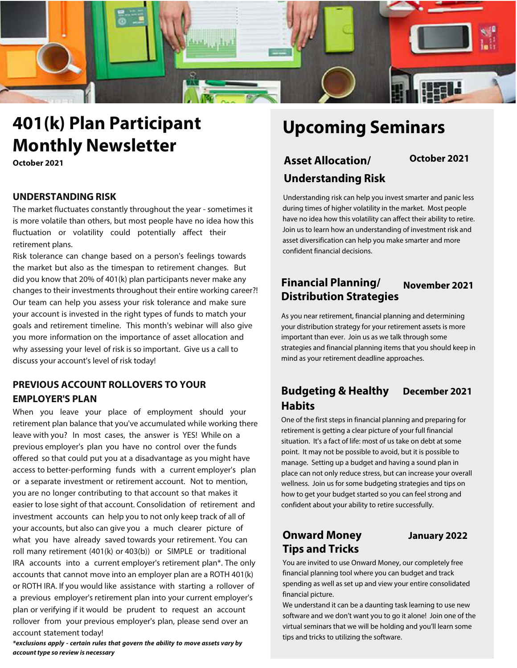

# **401(k) Plan Participant Monthly Newsletter**

**October 2021**

#### **UNDERSTANDING RISK**

The market fluctuates constantly throughout the year - sometimes it is more volatile than others, but most people have no idea how this fluctuation or volatility could potentially affect their retirement plans.

Risk tolerance can change based on a person's feelings towards the market but also as the timespan to retirement changes. But did you know that 20% of 401(k) plan participants never make any changes to their investments throughout their entire working career?! Our team can help you assess your risk tolerance and make sure your account is invested in the right types of funds to match your goals and retirement timeline. This month's webinar will also give you more information on the importance of asset allocation and why assessing your level of risk is so important. Give us a call to discuss your account's level of risk today!

## **PREVIOUS ACCOUNT ROLLOVERS TO YOUR EMPLOYER'S PLAN**

When you leave your place of employment should your retirement plan balance that you've accumulated while working there leave with you? In most cases, the answer is YES! While on a previous employer's plan you have no control over the funds offered so that could put you at a disadvantage as you might have access to better-performing funds with a current employer's plan or a separate investment or retirement account. Not to mention, you are no longer contributing to that account so that makes it easier to lose sight of that account. Consolidation of retirement and investment accounts can help you to not only keep track of all of your accounts, but also can give you a much clearer picture of what you have already saved towards your retirement. You can roll many retirement (401(k) or 403(b)) or SIMPLE or traditional IRA accounts into a current employer's retirement plan\*. The only accounts that cannot move into an employer plan are a ROTH 401(k) or ROTH IRA. If you would like assistance with starting a rollover of a previous employer's retirement plan into your current employer's plan or verifying if it would be prudent to request an account rollover from your previous employer's plan, please send over an account statement today!

**\*exclusions apply - certain rules that govern the ability to move assets vary by account type so review is necessary**

# **Upcoming Seminars**

## **Asset Allocation/ October 2021 Understanding Risk**

Understanding risk can help you invest smarter and panic less during times of higher volatility in the market. Most people have no idea how this volatility can affect their ability to retire. Join us to learn how an understanding of investment risk and asset diversification can help you make smarter and more confident financial decisions.

## **Financial Planning/ November 2021 Distribution Strategies**

As you near retirement, financial planning and determining your distribution strategy for your retirement assets is more important than ever. Join us as we talk through some strategies and financial planning items that you should keep in mind as your retirement deadline approaches.

## **Budgeting & Healthy December 2021 Habits**

One of the first steps in financial planning and preparing for retirement is getting a clear picture of your full financial situation. It's a fact of life: most of us take on debt at some point. It may not be possible to avoid, but it is possible to manage. Setting up a budget and having a sound plan in place can not only reduce stress, but can increase your overall wellness. Join us for some budgeting strategies and tips on how to get your budget started so you can feel strong and confident about your ability to retire successfully.

## **Onward Money January 2022 Tips and Tricks**

You are invited to use Onward Money, our completely free financial planning tool where you can budget and track spending as well as set up and view your entire consolidated financial picture.

We understand it can be a daunting task learning to use new software and we don't want you to go it alone! Join one of the virtual seminars that we will be holding and you'll learn some tips and tricks to utilizing the software.